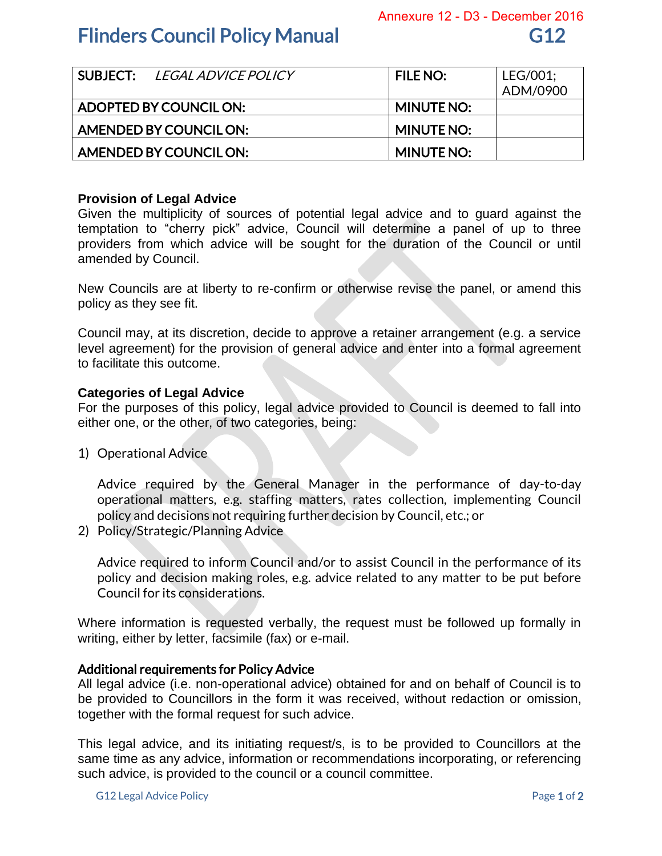## **Flinders Council Policy Manual G12** 612

|                        | SUBJECT: <i>LEGAL ADVICE POLICY</i> | <b>FILE NO:</b>   | LEG/001;<br>ADM/0900 |
|------------------------|-------------------------------------|-------------------|----------------------|
| ADOPTED BY COUNCIL ON: |                                     | <b>MINUTE NO:</b> |                      |
| AMENDED BY COUNCIL ON: |                                     | <b>MINUTE NO:</b> |                      |
| AMENDED BY COUNCIL ON: |                                     | <b>MINUTE NO:</b> |                      |

## **Provision of Legal Advice**

Given the multiplicity of sources of potential legal advice and to guard against the temptation to "cherry pick" advice, Council will determine a panel of up to three providers from which advice will be sought for the duration of the Council or until amended by Council.

New Councils are at liberty to re-confirm or otherwise revise the panel, or amend this policy as they see fit.

Council may, at its discretion, decide to approve a retainer arrangement (e.g. a service level agreement) for the provision of general advice and enter into a formal agreement to facilitate this outcome.

### **Categories of Legal Advice**

For the purposes of this policy, legal advice provided to Council is deemed to fall into either one, or the other, of two categories, being:

1) Operational Advice

Advice required by the General Manager in the performance of day-to-day operational matters, e.g. staffing matters, rates collection, implementing Council policy and decisions not requiring further decision by Council, etc.; or

2) Policy/Strategic/Planning Advice

Advice required to inform Council and/or to assist Council in the performance of its policy and decision making roles, e.g. advice related to any matter to be put before Council for its considerations.

Where information is requested verbally, the request must be followed up formally in writing, either by letter, facsimile (fax) or e-mail.

#### Additional requirements for Policy Advice

All legal advice (i.e. non-operational advice) obtained for and on behalf of Council is to be provided to Councillors in the form it was received, without redaction or omission, together with the formal request for such advice.

This legal advice, and its initiating request/s, is to be provided to Councillors at the same time as any advice, information or recommendations incorporating, or referencing such advice, is provided to the council or a council committee.